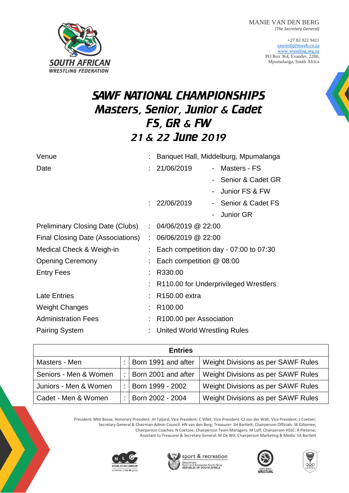MANIE VAN DEN BERG *(The Secretary General)*

> +27 82 922 9411 [sawrestl@mweb.co.za](mailto:sawrestl@mweb.co.za) [www.wrestling.org.za](http://www.wrestling.org.za/) PO Box 364, Evander, 2280, Mpumalanga, South Africa



# SAWF NATIONAL CHAMPIONSHIPS Masters, Senior, Junior & Cadet FS, GR & FW 21 & 22 June 2019

| Venue                                   |    | Banquet Hall, Middelburg, Mpumalanga  |  |  |  |  |
|-----------------------------------------|----|---------------------------------------|--|--|--|--|
| Date                                    | t. | 21/06/2019<br>Masters - FS<br>$\sim$  |  |  |  |  |
|                                         |    | - Senior & Cadet GR                   |  |  |  |  |
|                                         |    | Junior FS & FW                        |  |  |  |  |
|                                         |    | 22/06/2019<br>- Senior & Cadet FS     |  |  |  |  |
|                                         |    | Junior GR                             |  |  |  |  |
| <b>Preliminary Closing Date (Clubs)</b> |    | : 04/06/2019 @ 22:00                  |  |  |  |  |
| Final Closing Date (Associations)       |    | 06/06/2019 @ 22:00                    |  |  |  |  |
| Medical Check & Weigh-in                |    | Each competition day - 07:00 to 07:30 |  |  |  |  |
| <b>Opening Ceremony</b>                 | t. | Each competition @ 08:00              |  |  |  |  |
| <b>Entry Fees</b>                       |    | R330.00                               |  |  |  |  |
|                                         |    | R110.00 for Underprivileged Wrestlers |  |  |  |  |
| <b>Late Entries</b>                     | ÷. | R <sub>150.00</sub> extra             |  |  |  |  |
| <b>Weight Changes</b>                   |    | R <sub>100.00</sub>                   |  |  |  |  |
| <b>Administration Fees</b>              | t. | R <sub>100.00</sub> per Association   |  |  |  |  |
| <b>Pairing System</b>                   |    | United World Wrestling Rules          |  |  |  |  |

| <b>Entries</b>        |  |                         |                                    |  |  |
|-----------------------|--|-------------------------|------------------------------------|--|--|
| Masters - Men         |  | $:$ Born 1991 and after | Weight Divisions as per SAWF Rules |  |  |
| Seniors - Men & Women |  | $:$ Born 2001 and after | Weight Divisions as per SAWF Rules |  |  |
| Juniors - Men & Women |  | :   Born 1999 - 2002    | Weight Divisions as per SAWF Rules |  |  |
| Cadet - Men & Women   |  | :   Born 2002 - 2004    | Weight Divisions as per SAWF Rules |  |  |

President: MHJ Bosse; Honorary President: JH Taljard; Vice President: C Villet; Vice President: CJ van der Walt; Vice President: J Coetser; Secretary General & Chairman Admin Council: HN van den Berg; Treasurer: SH Bartlett; Chairperson Officials: W Giliomee; Chairperson Coaches: N Coetzee; Chairperson Team Managers: M Luff; Chairperson HSSC: R Pieterse; Assistant to Treasurer & Secretary General: M De Wit; Chairperson Marketing & Media: SA Bartlett







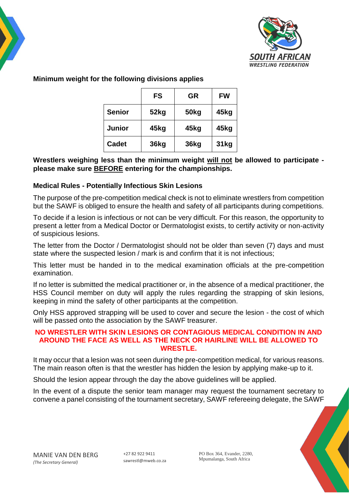



|               | <b>FS</b> | GR   | <b>FW</b> |
|---------------|-----------|------|-----------|
| <b>Senior</b> | 52kg      | 50kg | 45kg      |
| Junior        | 45kg      | 45kg | 45kg      |
| <b>Cadet</b>  | 36kg      | 36kg | 31kg      |

**Minimum weight for the following divisions applies**

#### **Wrestlers weighing less than the minimum weight will not be allowed to participate please make sure BEFORE entering for the championships.**

#### **Medical Rules - Potentially Infectious Skin Lesions**

The purpose of the pre-competition medical check is not to eliminate wrestlers from competition but the SAWF is obliged to ensure the health and safety of all participants during competitions.

To decide if a lesion is infectious or not can be very difficult. For this reason, the opportunity to present a letter from a Medical Doctor or Dermatologist exists, to certify activity or non-activity of suspicious lesions.

The letter from the Doctor / Dermatologist should not be older than seven (7) days and must state where the suspected lesion / mark is and confirm that it is not infectious;

This letter must be handed in to the medical examination officials at the pre-competition examination.

If no letter is submitted the medical practitioner or, in the absence of a medical practitioner, the HSS Council member on duty will apply the rules regarding the strapping of skin lesions, keeping in mind the safety of other participants at the competition.

Only HSS approved strapping will be used to cover and secure the lesion - the cost of which will be passed onto the association by the SAWF treasurer.

#### **NO WRESTLER WITH SKIN LESIONS OR CONTAGIOUS MEDICAL CONDITION IN AND AROUND THE FACE AS WELL AS THE NECK OR HAIRLINE WILL BE ALLOWED TO WRESTLE.**

It may occur that a lesion was not seen during the pre-competition medical, for various reasons. The main reason often is that the wrestler has hidden the lesion by applying make-up to it.

Should the lesion appear through the day the above guidelines will be applied.

In the event of a dispute the senior team manager may request the tournament secretary to convene a panel consisting of the tournament secretary, SAWF refereeing delegate, the SAWF

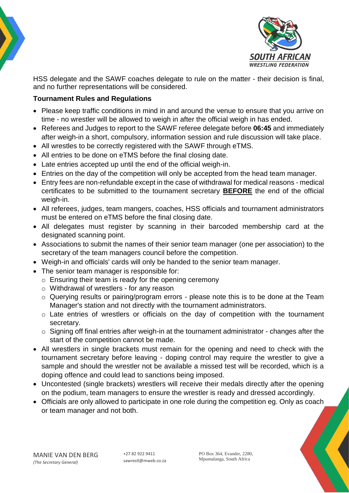



HSS delegate and the SAWF coaches delegate to rule on the matter - their decision is final, and no further representations will be considered.

## **Tournament Rules and Regulations**

- Please keep traffic conditions in mind in and around the venue to ensure that you arrive on time - no wrestler will be allowed to weigh in after the official weigh in has ended.
- Referees and Judges to report to the SAWF referee delegate before **06:45** and immediately after weigh-in a short, compulsory, information session and rule discussion will take place.
- All wrestles to be correctly registered with the SAWF through eTMS.
- All entries to be done on eTMS before the final closing date.
- Late entries accepted up until the end of the official weigh-in.
- Entries on the day of the competition will only be accepted from the head team manager.
- Entry fees are non-refundable except in the case of withdrawal for medical reasons medical certificates to be submitted to the tournament secretary **BEFORE** the end of the official weigh-in.
- All referees, judges, team mangers, coaches, HSS officials and tournament administrators must be entered on eTMS before the final closing date.
- All delegates must register by scanning in their barcoded membership card at the designated scanning point.
- Associations to submit the names of their senior team manager (one per association) to the secretary of the team managers council before the competition.
- Weigh-in and officials' cards will only be handed to the senior team manager.
- The senior team manager is responsible for:
	- o Ensuring their team is ready for the opening ceremony
	- o Withdrawal of wrestlers for any reason
	- o Querying results or pairing/program errors please note this is to be done at the Team Manager's station and not directly with the tournament administrators.
	- o Late entries of wrestlers or officials on the day of competition with the tournament secretary.
	- $\circ$  Signing off final entries after weigh-in at the tournament administrator changes after the start of the competition cannot be made.
- All wrestlers in single brackets must remain for the opening and need to check with the tournament secretary before leaving - doping control may require the wrestler to give a sample and should the wrestler not be available a missed test will be recorded, which is a doping offence and could lead to sanctions being imposed.
- Uncontested (single brackets) wrestlers will receive their medals directly after the opening on the podium, team managers to ensure the wrestler is ready and dressed accordingly.
- Officials are only allowed to participate in one role during the competition eg. Only as coach or team manager and not both.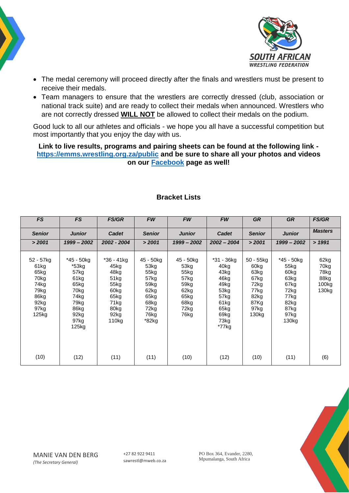



- The medal ceremony will proceed directly after the finals and wrestlers must be present to receive their medals.
- Team managers to ensure that the wrestlers are correctly dressed (club, association or national track suite) and are ready to collect their medals when announced. Wrestlers who are not correctly dressed **WILL NOT** be allowed to collect their medals on the podium.

Good luck to all our athletes and officials - we hope you all have a successful competition but most importantly that you enjoy the day with us.

**Link to live results, programs and pairing sheets can be found at the following link <https://emms.wrestling.org.za/public> and be sure to share all your photos and videos on our [Facebook](https://www.facebook.com/WrestingSA/) page as well!**

| <b>FS</b>                                                                          | <b>FS</b>                                                                                            | <b>FS/GR</b>                                                                                | <b>FW</b>                                                                                  | <b>FW</b>                                                                            | <b>FW</b>                                                                                           | <b>GR</b>                                                                                         | <b>GR</b>                                                                                   | <b>FS/GR</b>                                   |
|------------------------------------------------------------------------------------|------------------------------------------------------------------------------------------------------|---------------------------------------------------------------------------------------------|--------------------------------------------------------------------------------------------|--------------------------------------------------------------------------------------|-----------------------------------------------------------------------------------------------------|---------------------------------------------------------------------------------------------------|---------------------------------------------------------------------------------------------|------------------------------------------------|
| <b>Senior</b>                                                                      | <b>Junior</b>                                                                                        | Cadet                                                                                       | <b>Senior</b>                                                                              | <b>Junior</b>                                                                        | <b>Cadet</b>                                                                                        | <b>Senior</b>                                                                                     | <b>Junior</b>                                                                               | <b>Masters</b>                                 |
| > 2001                                                                             | 1999 - 2002                                                                                          | 2002 - 2004                                                                                 | > 2001                                                                                     | 1999 - 2002                                                                          | $2002 - 2004$                                                                                       | > 2001                                                                                            | 1999 - 2002                                                                                 | >1991                                          |
| 52 - 57kg<br>61kg<br>65kg<br>70kg<br>74kg<br>79kg<br>86kg<br>92kg<br>97kg<br>125kg | *45 - 50kg<br>*53kg<br>57kg<br>61kg<br>65kg<br>70kg<br>74kg<br>79kg<br>86kg<br>92kg<br>97kg<br>125kg | *36 - 41kg<br>45kg<br>48kg<br>51kg<br>55kg<br>60kg<br>65kg<br>71kg<br>80kg<br>92kg<br>110kg | 45 - 50kg<br>53kg<br>55kg<br>57kg<br>59kg<br>62kg<br>65kg<br>68kg<br>72kg<br>76kg<br>*82kg | 45 - 50kg<br>53kg<br>$55$ kg<br>57kg<br>59kg<br>62kg<br>65kg<br>68kg<br>72kg<br>76kg | *31 - 36kg<br>40kg<br>43kg<br>46kg<br>49kg<br>53kg<br>57kg<br>61kg<br>65kg<br>69kg<br>73kg<br>*77kg | $50 - 55$ kg<br>60kg<br>63kg<br>67kg<br>72kg<br>77kg<br>82kg<br>87Kg<br>97kg<br>130 <sub>kg</sub> | *45 - 50kg<br>55kg<br>60kg<br>63kg<br>67kg<br>72kg<br>77kg<br>82kg<br>87kg<br>97kg<br>130kg | 62kg<br>70kg<br>78kg<br>88kg<br>100kg<br>130kg |
| (10)                                                                               | (12)                                                                                                 | (11)                                                                                        | (11)                                                                                       | (10)                                                                                 | (12)                                                                                                | (10)                                                                                              | (11)                                                                                        | (6)                                            |

## **Bracket Lists**



PO Box 364, Evander, 2280, Mpumalanga, South Africa